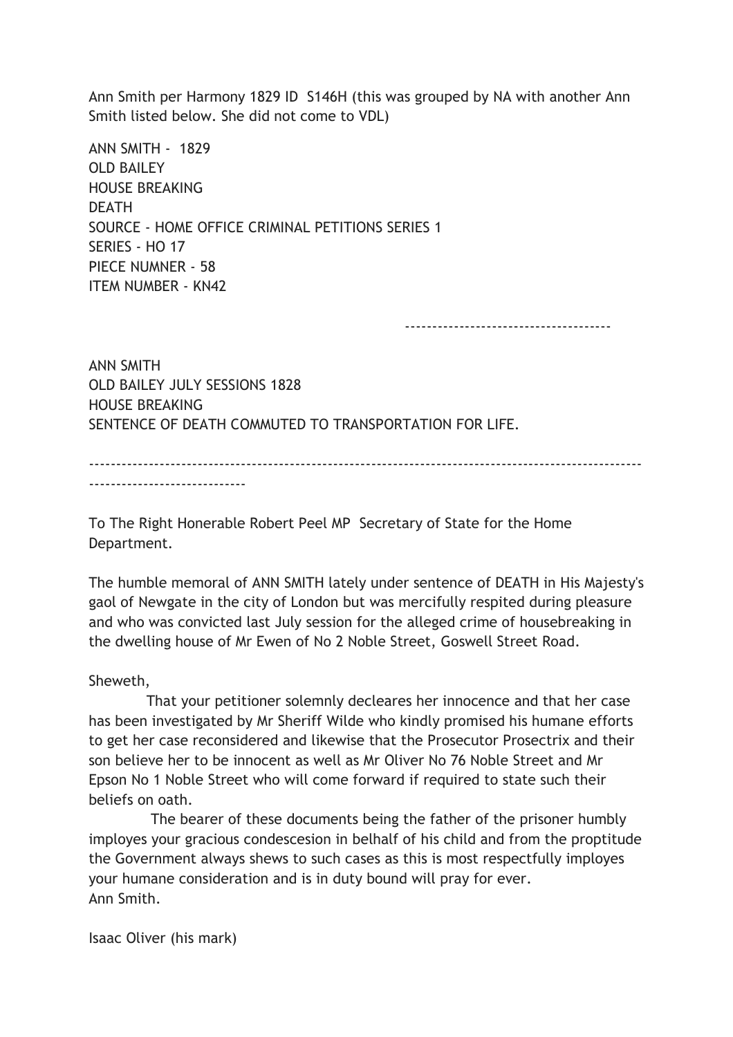Ann Smith per Harmony 1829 ID S146H (this was grouped by NA with another Ann Smith listed below. She did not come to VDL)

ANN SMITH - 1829 OLD BAILEY HOUSE BREAKING **DEATH** SOURCE - HOME OFFICE CRIMINAL PETITIONS SERIES 1 SERIES - HO 17 PIECE NUMNER - 58 ITEM NUMBER - KN42

--------------------------------------

ANN SMITH OLD BAILEY JULY SESSIONS 1828 HOUSE BREAKING SENTENCE OF DEATH COMMUTED TO TRANSPORTATION FOR LIFE.

------------------------------------------------------------------------------------------------------ -----------------------------

To The Right Honerable Robert Peel MP Secretary of State for the Home Department.

The humble memoral of ANN SMITH lately under sentence of DEATH in His Majesty's gaol of Newgate in the city of London but was mercifully respited during pleasure and who was convicted last July session for the alleged crime of housebreaking in the dwelling house of Mr Ewen of No 2 Noble Street, Goswell Street Road.

Sheweth,

 That your petitioner solemnly decleares her innocence and that her case has been investigated by Mr Sheriff Wilde who kindly promised his humane efforts to get her case reconsidered and likewise that the Prosecutor Prosectrix and their son believe her to be innocent as well as Mr Oliver No 76 Noble Street and Mr Epson No 1 Noble Street who will come forward if required to state such their beliefs on oath.

 The bearer of these documents being the father of the prisoner humbly imployes your gracious condescesion in belhalf of his child and from the proptitude the Government always shews to such cases as this is most respectfully imployes your humane consideration and is in duty bound will pray for ever. Ann Smith.

Isaac Oliver (his mark)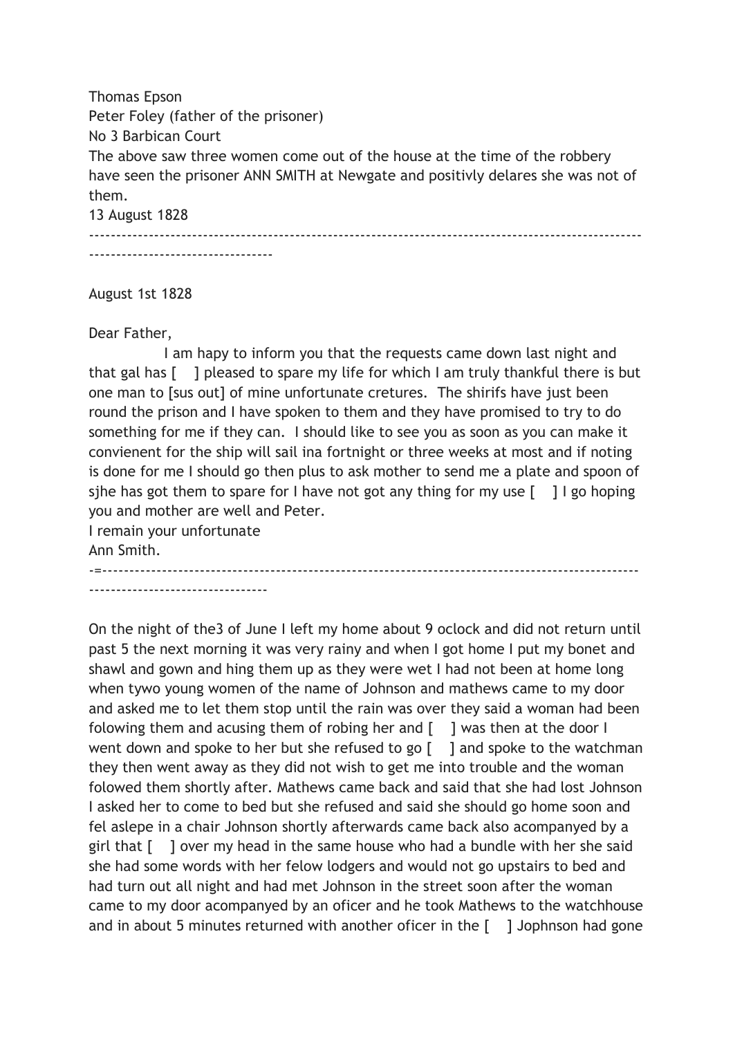Thomas Epson Peter Foley (father of the prisoner) No 3 Barbican Court The above saw three women come out of the house at the time of the robbery have seen the prisoner ANN SMITH at Newgate and positivly delares she was not of them. 13 August 1828

------------------------------------------------------------------------------------------------------

----------------------------------

August 1st 1828

Dear Father,

 I am hapy to inform you that the requests came down last night and that gal has [ ] pleased to spare my life for which I am truly thankful there is but one man to [sus out] of mine unfortunate cretures. The shirifs have just been round the prison and I have spoken to them and they have promised to try to do something for me if they can. I should like to see you as soon as you can make it convienent for the ship will sail ina fortnight or three weeks at most and if noting is done for me I should go then plus to ask mother to send me a plate and spoon of sihe has got them to spare for I have not got any thing for my use  $\lceil \quad \rceil$  I go hoping you and mother are well and Peter.

I remain your unfortunate Ann Smith. -=---------------------------------------------------------------------------------------------------

---------------------------------

On the night of the3 of June I left my home about 9 oclock and did not return until past 5 the next morning it was very rainy and when I got home I put my bonet and shawl and gown and hing them up as they were wet I had not been at home long when tywo young women of the name of Johnson and mathews came to my door and asked me to let them stop until the rain was over they said a woman had been folowing them and acusing them of robing her and  $\lceil \ \ \rceil$  was then at the door I went down and spoke to her but she refused to go [ ] and spoke to the watchman they then went away as they did not wish to get me into trouble and the woman folowed them shortly after. Mathews came back and said that she had lost Johnson I asked her to come to bed but she refused and said she should go home soon and fel aslepe in a chair Johnson shortly afterwards came back also acompanyed by a girl that [ ] over my head in the same house who had a bundle with her she said she had some words with her felow lodgers and would not go upstairs to bed and had turn out all night and had met Johnson in the street soon after the woman came to my door acompanyed by an oficer and he took Mathews to the watchhouse and in about 5 minutes returned with another oficer in the [ ] Jophnson had gone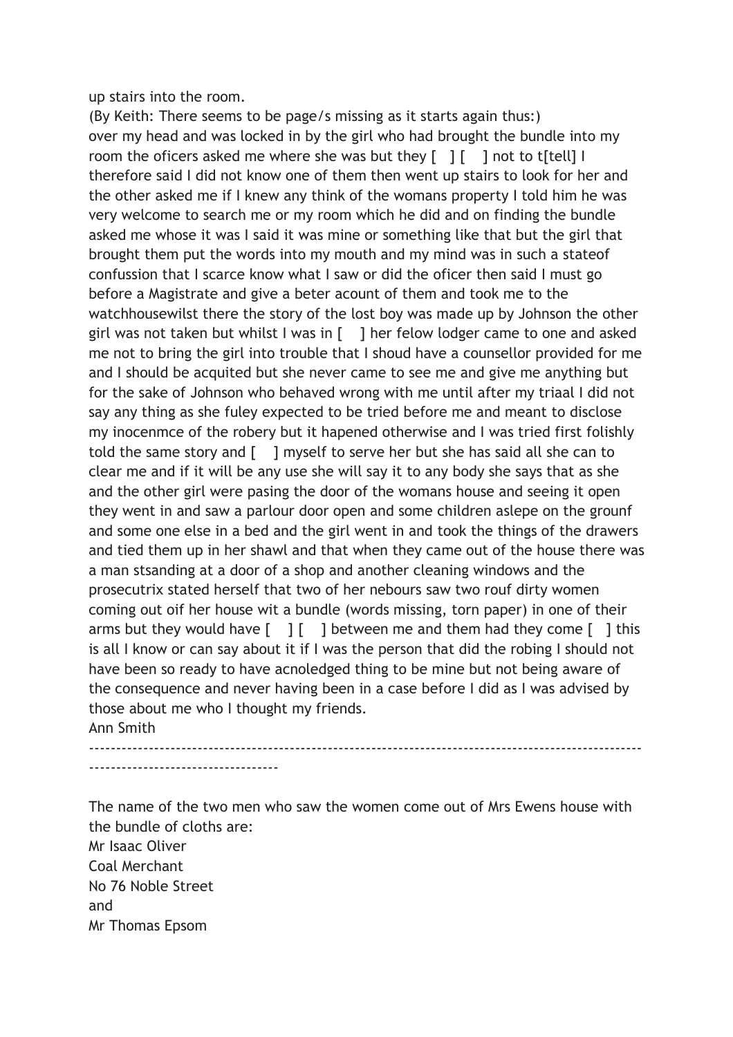up stairs into the room.

(By Keith: There seems to be page/s missing as it starts again thus:) over my head and was locked in by the girl who had brought the bundle into my room the oficers asked me where she was but they  $[1]$   $[1]$  not to titell  $[1]$ therefore said I did not know one of them then went up stairs to look for her and the other asked me if I knew any think of the womans property I told him he was very welcome to search me or my room which he did and on finding the bundle asked me whose it was I said it was mine or something like that but the girl that brought them put the words into my mouth and my mind was in such a stateof confussion that I scarce know what I saw or did the oficer then said I must go before a Magistrate and give a beter acount of them and took me to the watchhousewilst there the story of the lost boy was made up by Johnson the other girl was not taken but whilst I was in [ ] her felow lodger came to one and asked me not to bring the girl into trouble that I shoud have a counsellor provided for me and I should be acquited but she never came to see me and give me anything but for the sake of Johnson who behaved wrong with me until after my triaal I did not say any thing as she fuley expected to be tried before me and meant to disclose my inocenmce of the robery but it hapened otherwise and I was tried first folishly told the same story and [ ] myself to serve her but she has said all she can to clear me and if it will be any use she will say it to any body she says that as she and the other girl were pasing the door of the womans house and seeing it open they went in and saw a parlour door open and some children aslepe on the grounf and some one else in a bed and the girl went in and took the things of the drawers and tied them up in her shawl and that when they came out of the house there was a man stsanding at a door of a shop and another cleaning windows and the prosecutrix stated herself that two of her nebours saw two rouf dirty women coming out oif her house wit a bundle (words missing, torn paper) in one of their arms but they would have  $\begin{bmatrix} 1 \\ 1 \end{bmatrix}$  between me and them had they come  $\begin{bmatrix} 1 \\ 1 \end{bmatrix}$  this is all I know or can say about it if I was the person that did the robing I should not have been so ready to have acnoledged thing to be mine but not being aware of the consequence and never having been in a case before I did as I was advised by those about me who I thought my friends. Ann Smith

------------------------------------------------------------------------------------------------------ -----------------------------------

The name of the two men who saw the women come out of Mrs Ewens house with the bundle of cloths are: Mr Isaac Oliver Coal Merchant No 76 Noble Street

and Mr Thomas Epsom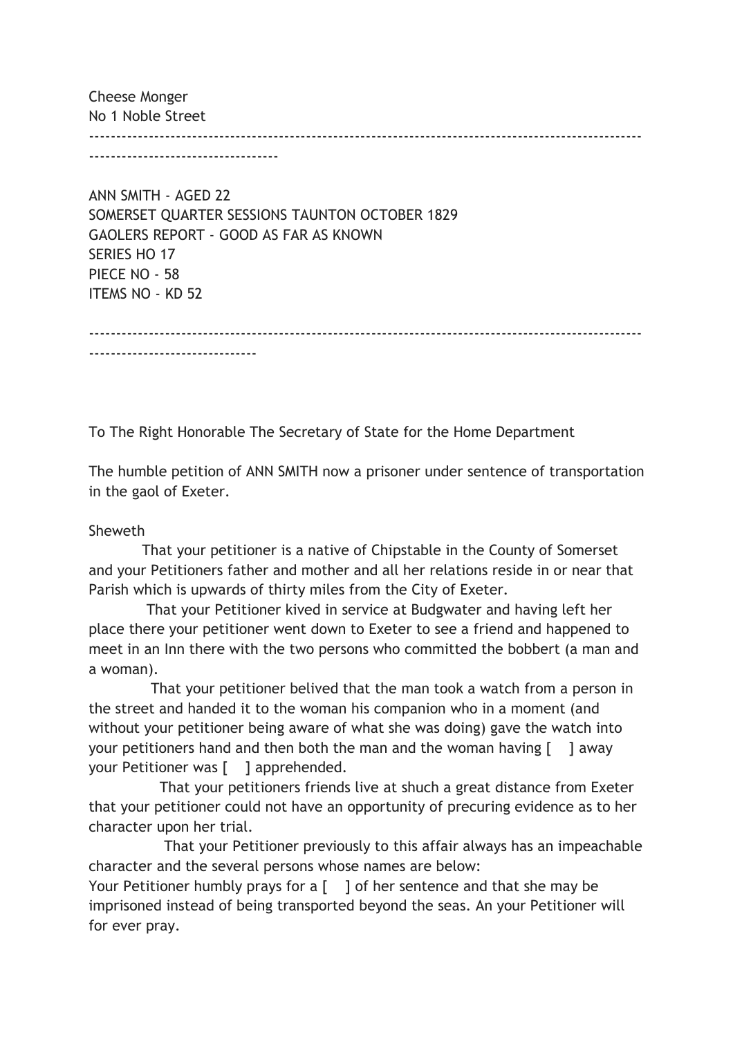Cheese Monger No 1 Noble Street ------------------------------------------------------------------------------------------------------ -----------------------------------

ANN SMITH - AGED 22 SOMERSET QUARTER SESSIONS TAUNTON OCTOBER 1829 GAOLERS REPORT - GOOD AS FAR AS KNOWN SERIES HO 17 PIECE NO - 58 ITEMS NO - KD 52

------------------------------------------------------------------------------------------------------

To The Right Honorable The Secretary of State for the Home Department

The humble petition of ANN SMITH now a prisoner under sentence of transportation in the gaol of Exeter.

## Sheweth

-------------------------------

 That your petitioner is a native of Chipstable in the County of Somerset and your Petitioners father and mother and all her relations reside in or near that Parish which is upwards of thirty miles from the City of Exeter.

 That your Petitioner kived in service at Budgwater and having left her place there your petitioner went down to Exeter to see a friend and happened to meet in an Inn there with the two persons who committed the bobbert (a man and a woman).

 That your petitioner belived that the man took a watch from a person in the street and handed it to the woman his companion who in a moment (and without your petitioner being aware of what she was doing) gave the watch into your petitioners hand and then both the man and the woman having  $\lceil \quad \rceil$  away your Petitioner was [ ] apprehended.

 That your petitioners friends live at shuch a great distance from Exeter that your petitioner could not have an opportunity of precuring evidence as to her character upon her trial.

 That your Petitioner previously to this affair always has an impeachable character and the several persons whose names are below:

Your Petitioner humbly prays for a  $\lceil \quad \rceil$  of her sentence and that she may be imprisoned instead of being transported beyond the seas. An your Petitioner will for ever pray.